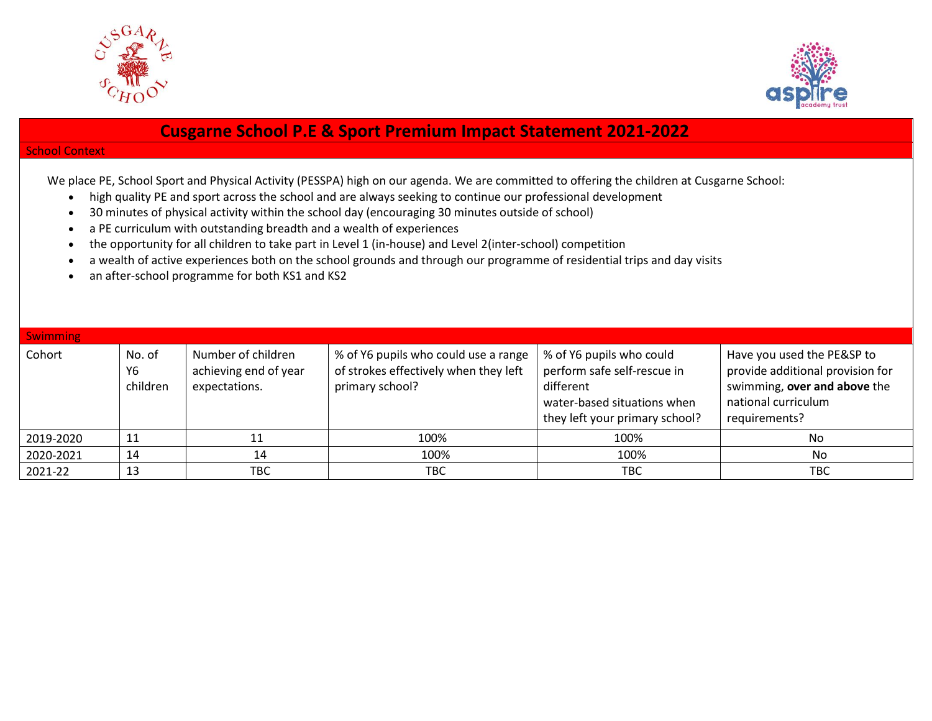



## **Cusgarne School P.E & Sport Premium Impact Statement 2021-2022**

## School Context

We place PE, School Sport and Physical Activity (PESSPA) high on our agenda. We are committed to offering the children at Cusgarne School:

- high quality PE and sport across the school and are always seeking to continue our professional development
- 30 minutes of physical activity within the school day (encouraging 30 minutes outside of school)
- a PE curriculum with outstanding breadth and a wealth of experiences
- the opportunity for all children to take part in Level 1 (in-house) and Level 2(inter-school) competition
- a wealth of active experiences both on the school grounds and through our programme of residential trips and day visits
- an after-school programme for both KS1 and KS2

| <b>Swimming</b> |                          |                                                              |                                                                                                  |                                                                                                                                       |                                                                                                                                        |
|-----------------|--------------------------|--------------------------------------------------------------|--------------------------------------------------------------------------------------------------|---------------------------------------------------------------------------------------------------------------------------------------|----------------------------------------------------------------------------------------------------------------------------------------|
| Cohort          | No. of<br>Y6<br>children | Number of children<br>achieving end of year<br>expectations. | % of Y6 pupils who could use a range<br>of strokes effectively when they left<br>primary school? | % of Y6 pupils who could<br>perform safe self-rescue in<br>different<br>water-based situations when<br>they left your primary school? | Have you used the PE&SP to<br>provide additional provision for<br>swimming, over and above the<br>national curriculum<br>requirements? |
| 2019-2020       | 11                       |                                                              | 100%                                                                                             | 100%                                                                                                                                  | No                                                                                                                                     |
| 2020-2021       | 14                       | 14                                                           | 100%                                                                                             | 100%                                                                                                                                  | No                                                                                                                                     |
| 2021-22         | 13                       | твс                                                          | ТВС                                                                                              | TBC                                                                                                                                   | <b>TBC</b>                                                                                                                             |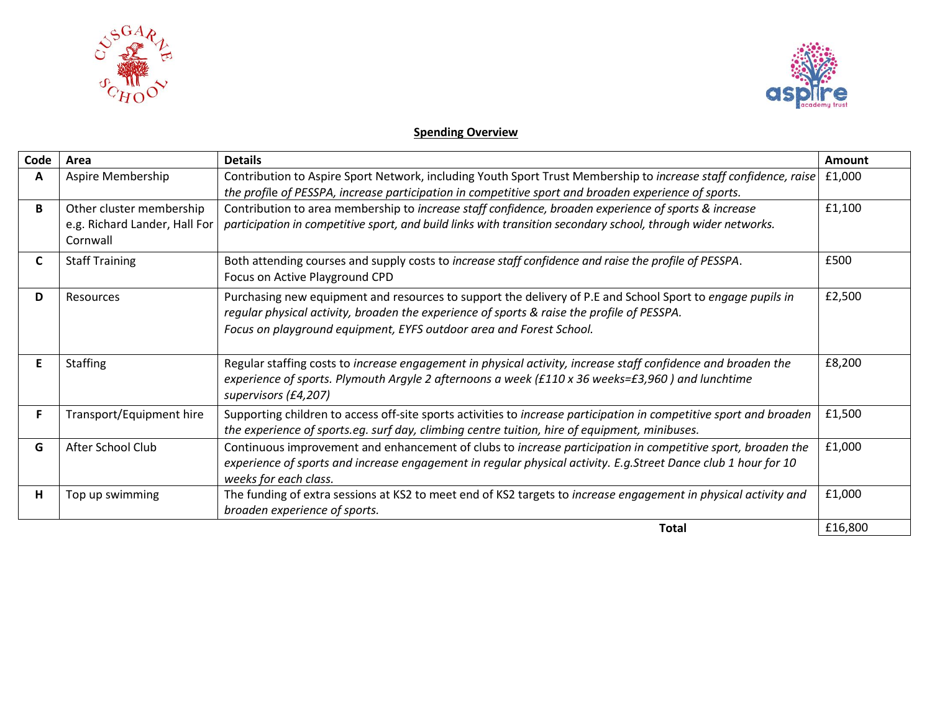



## **Spending Overview**

| Code | Area                                                                  | <b>Details</b>                                                                                                                                                                                                                                                                  | Amount  |
|------|-----------------------------------------------------------------------|---------------------------------------------------------------------------------------------------------------------------------------------------------------------------------------------------------------------------------------------------------------------------------|---------|
| A    | Aspire Membership                                                     | Contribution to Aspire Sport Network, including Youth Sport Trust Membership to increase staff confidence, raise<br>the profile of PESSPA, increase participation in competitive sport and broaden experience of sports.                                                        | £1,000  |
| B    | Other cluster membership<br>e.g. Richard Lander, Hall For<br>Cornwall | Contribution to area membership to increase staff confidence, broaden experience of sports & increase<br>participation in competitive sport, and build links with transition secondary school, through wider networks.                                                          | £1,100  |
| C    | <b>Staff Training</b>                                                 | Both attending courses and supply costs to increase staff confidence and raise the profile of PESSPA.<br>Focus on Active Playground CPD                                                                                                                                         | £500    |
| D    | Resources                                                             | Purchasing new equipment and resources to support the delivery of P.E and School Sport to engage pupils in<br>regular physical activity, broaden the experience of sports & raise the profile of PESSPA.<br>Focus on playground equipment, EYFS outdoor area and Forest School. | £2,500  |
| E    | <b>Staffing</b>                                                       | Regular staffing costs to increase engagement in physical activity, increase staff confidence and broaden the<br>experience of sports. Plymouth Argyle 2 afternoons a week (£110 x 36 weeks=£3,960) and lunchtime<br>supervisors (£4,207)                                       | £8,200  |
|      | Transport/Equipment hire                                              | Supporting children to access off-site sports activities to increase participation in competitive sport and broaden<br>the experience of sports.eg. surf day, climbing centre tuition, hire of equipment, minibuses.                                                            | £1,500  |
| G    | After School Club                                                     | Continuous improvement and enhancement of clubs to increase participation in competitive sport, broaden the<br>experience of sports and increase engagement in regular physical activity. E.g.Street Dance club 1 hour for 10<br>weeks for each class.                          | £1,000  |
| н    | Top up swimming                                                       | The funding of extra sessions at KS2 to meet end of KS2 targets to increase engagement in physical activity and<br>broaden experience of sports.                                                                                                                                | £1,000  |
|      |                                                                       | <b>Total</b>                                                                                                                                                                                                                                                                    | £16,800 |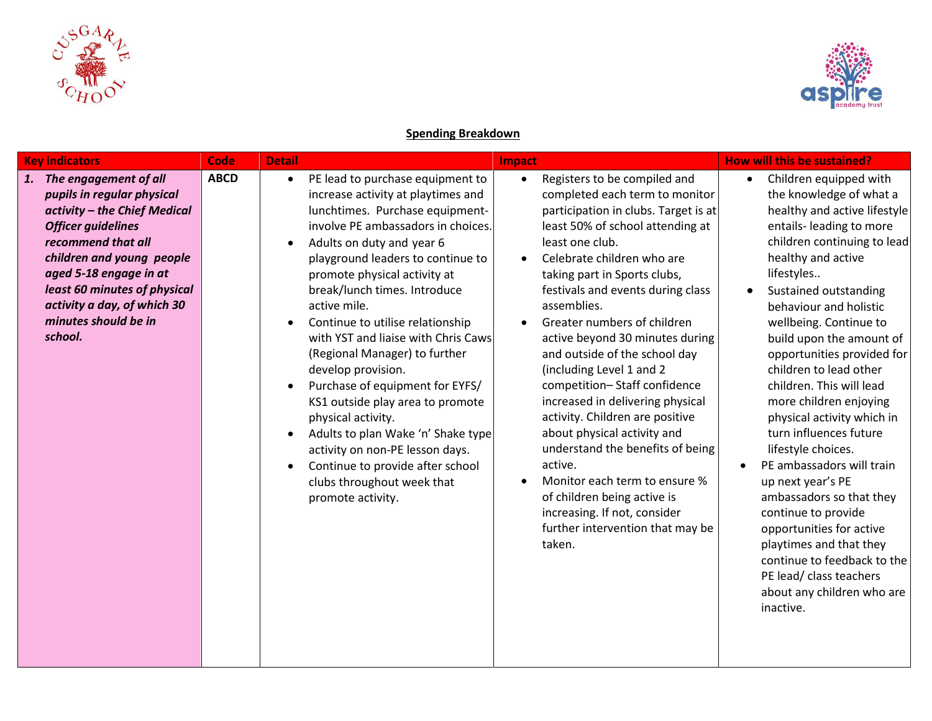



## **Spending Breakdown**

| <b>Key indicators</b>                                                                                                                                                                                                                                                                                 | <b>Code</b><br><b>Detail</b> |                                                                                                                                                                                                                                                                                                                                                                                                                                                                                                                                                                                                                                                                                                  | Impact                                                                                                                                                                                                                                                                                                                                                                                                                                                                                                                                                                                                                                                                                                                                                                                   | <b>How will this be sustained?</b>                                                                                                                                                                                                                                                                                                                                                                                                                                                                                                                                                                                                                                                                                                                                  |
|-------------------------------------------------------------------------------------------------------------------------------------------------------------------------------------------------------------------------------------------------------------------------------------------------------|------------------------------|--------------------------------------------------------------------------------------------------------------------------------------------------------------------------------------------------------------------------------------------------------------------------------------------------------------------------------------------------------------------------------------------------------------------------------------------------------------------------------------------------------------------------------------------------------------------------------------------------------------------------------------------------------------------------------------------------|------------------------------------------------------------------------------------------------------------------------------------------------------------------------------------------------------------------------------------------------------------------------------------------------------------------------------------------------------------------------------------------------------------------------------------------------------------------------------------------------------------------------------------------------------------------------------------------------------------------------------------------------------------------------------------------------------------------------------------------------------------------------------------------|---------------------------------------------------------------------------------------------------------------------------------------------------------------------------------------------------------------------------------------------------------------------------------------------------------------------------------------------------------------------------------------------------------------------------------------------------------------------------------------------------------------------------------------------------------------------------------------------------------------------------------------------------------------------------------------------------------------------------------------------------------------------|
| The engagement of all<br>1.<br>pupils in regular physical<br>activity - the Chief Medical<br><b>Officer guidelines</b><br>recommend that all<br>children and young people<br>aged 5-18 engage in at<br>least 60 minutes of physical<br>activity a day, of which 30<br>minutes should be in<br>school. | <b>ABCD</b><br>$\bullet$     | PE lead to purchase equipment to<br>increase activity at playtimes and<br>lunchtimes. Purchase equipment-<br>involve PE ambassadors in choices.<br>Adults on duty and year 6<br>playground leaders to continue to<br>promote physical activity at<br>break/lunch times. Introduce<br>active mile.<br>Continue to utilise relationship<br>with YST and liaise with Chris Caws<br>(Regional Manager) to further<br>develop provision.<br>Purchase of equipment for EYFS/<br>KS1 outside play area to promote<br>physical activity.<br>Adults to plan Wake 'n' Shake type<br>activity on non-PE lesson days.<br>Continue to provide after school<br>clubs throughout week that<br>promote activity. | Registers to be compiled and<br>$\bullet$<br>completed each term to monitor<br>participation in clubs. Target is at<br>least 50% of school attending at<br>least one club.<br>Celebrate children who are<br>$\bullet$<br>taking part in Sports clubs,<br>festivals and events during class<br>assemblies.<br>Greater numbers of children<br>active beyond 30 minutes during<br>and outside of the school day<br>(including Level 1 and 2<br>competition-Staff confidence<br>increased in delivering physical<br>activity. Children are positive<br>about physical activity and<br>understand the benefits of being<br>active.<br>Monitor each term to ensure %<br>$\bullet$<br>of children being active is<br>increasing. If not, consider<br>further intervention that may be<br>taken. | Children equipped with<br>the knowledge of what a<br>healthy and active lifestyle<br>entails- leading to more<br>children continuing to lead<br>healthy and active<br>lifestyles<br>Sustained outstanding<br>behaviour and holistic<br>wellbeing. Continue to<br>build upon the amount of<br>opportunities provided for<br>children to lead other<br>children. This will lead<br>more children enjoying<br>physical activity which in<br>turn influences future<br>lifestyle choices.<br>PE ambassadors will train<br>$\bullet$<br>up next year's PE<br>ambassadors so that they<br>continue to provide<br>opportunities for active<br>playtimes and that they<br>continue to feedback to the<br>PE lead/ class teachers<br>about any children who are<br>inactive. |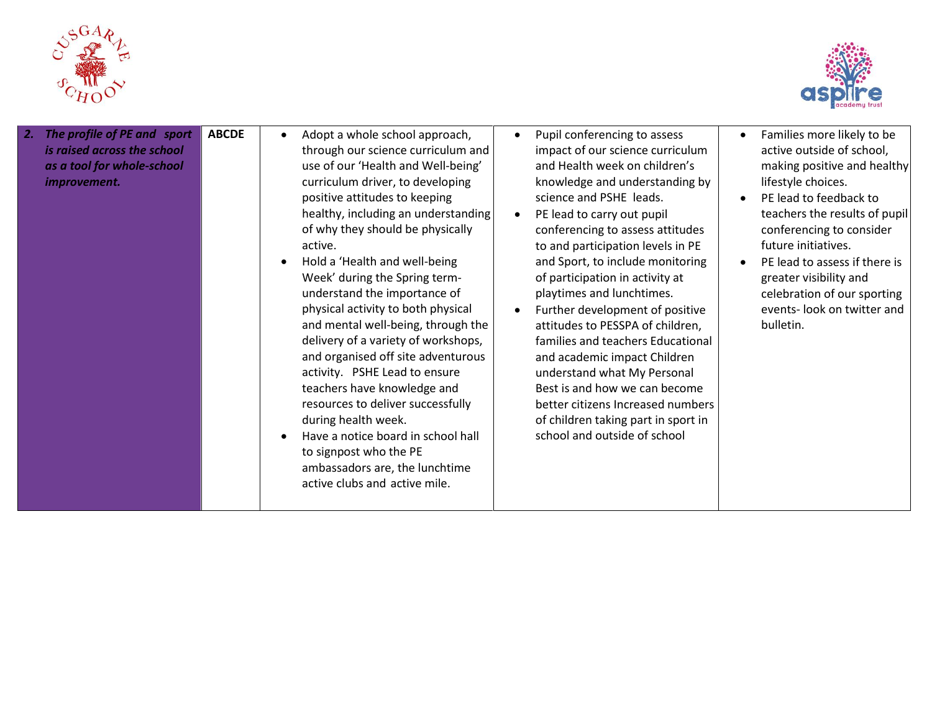



| The profile of PE and sport<br>2.<br>is raised across the school<br>as a tool for whole-school<br>improvement. | <b>ABCDE</b> | Adopt a whole school approach,<br>$\bullet$<br>through our science curriculum and<br>use of our 'Health and Well-being'<br>curriculum driver, to developing<br>positive attitudes to keeping<br>healthy, including an understanding<br>of why they should be physically<br>active.<br>Hold a 'Health and well-being<br>Week' during the Spring term-<br>understand the importance of<br>physical activity to both physical<br>and mental well-being, through the<br>delivery of a variety of workshops,<br>and organised off site adventurous<br>activity. PSHE Lead to ensure<br>teachers have knowledge and<br>resources to deliver successfully<br>during health week.<br>Have a notice board in school hall<br>to signpost who the PE<br>ambassadors are, the lunchtime<br>active clubs and active mile. | Pupil conferencing to assess<br>impact of our science curriculum<br>and Health week on children's<br>knowledge and understanding by<br>science and PSHE leads.<br>PE lead to carry out pupil<br>conferencing to assess attitudes<br>to and participation levels in PE<br>and Sport, to include monitoring<br>of participation in activity at<br>playtimes and lunchtimes.<br>Further development of positive<br>attitudes to PESSPA of children,<br>families and teachers Educational<br>and academic impact Children<br>understand what My Personal<br>Best is and how we can become<br>better citizens Increased numbers<br>of children taking part in sport in<br>school and outside of school | Families more likely to be<br>active outside of school,<br>making positive and healthy<br>lifestyle choices.<br>PE lead to feedback to<br>teachers the results of pupil<br>conferencing to consider<br>future initiatives.<br>PE lead to assess if there is<br>greater visibility and<br>celebration of our sporting<br>events- look on twitter and<br>bulletin. |
|----------------------------------------------------------------------------------------------------------------|--------------|--------------------------------------------------------------------------------------------------------------------------------------------------------------------------------------------------------------------------------------------------------------------------------------------------------------------------------------------------------------------------------------------------------------------------------------------------------------------------------------------------------------------------------------------------------------------------------------------------------------------------------------------------------------------------------------------------------------------------------------------------------------------------------------------------------------|---------------------------------------------------------------------------------------------------------------------------------------------------------------------------------------------------------------------------------------------------------------------------------------------------------------------------------------------------------------------------------------------------------------------------------------------------------------------------------------------------------------------------------------------------------------------------------------------------------------------------------------------------------------------------------------------------|------------------------------------------------------------------------------------------------------------------------------------------------------------------------------------------------------------------------------------------------------------------------------------------------------------------------------------------------------------------|
|----------------------------------------------------------------------------------------------------------------|--------------|--------------------------------------------------------------------------------------------------------------------------------------------------------------------------------------------------------------------------------------------------------------------------------------------------------------------------------------------------------------------------------------------------------------------------------------------------------------------------------------------------------------------------------------------------------------------------------------------------------------------------------------------------------------------------------------------------------------------------------------------------------------------------------------------------------------|---------------------------------------------------------------------------------------------------------------------------------------------------------------------------------------------------------------------------------------------------------------------------------------------------------------------------------------------------------------------------------------------------------------------------------------------------------------------------------------------------------------------------------------------------------------------------------------------------------------------------------------------------------------------------------------------------|------------------------------------------------------------------------------------------------------------------------------------------------------------------------------------------------------------------------------------------------------------------------------------------------------------------------------------------------------------------|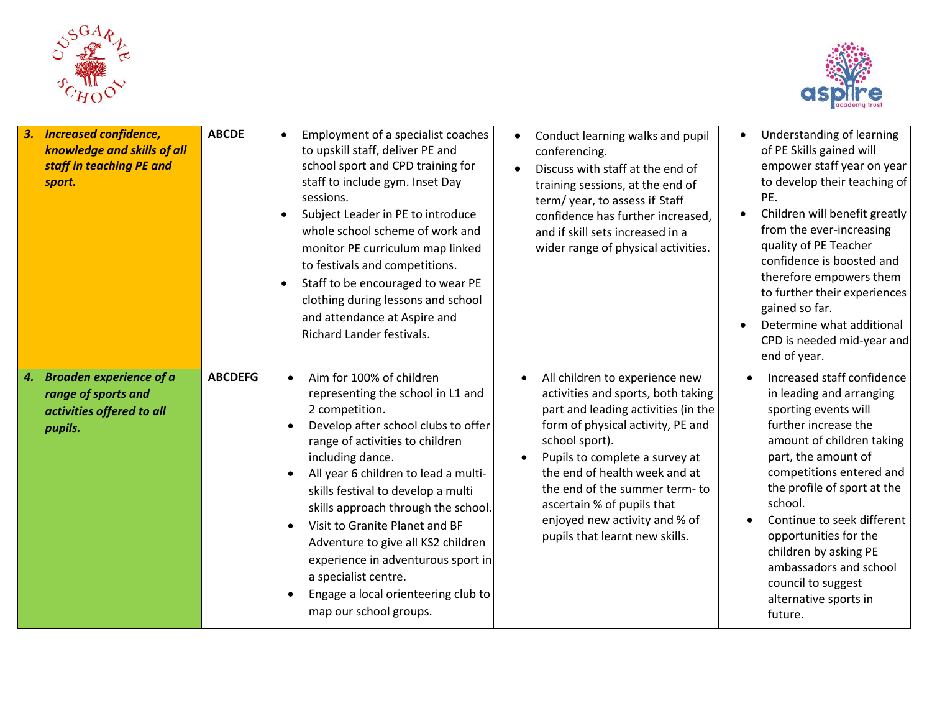



| <b>Increased confidence,</b><br>3.<br>knowledge and skills of all<br>staff in teaching PE and<br>sport. | <b>ABCDE</b>   | Employment of a specialist coaches<br>$\bullet$<br>to upskill staff, deliver PE and<br>school sport and CPD training for<br>staff to include gym. Inset Day<br>sessions.<br>Subject Leader in PE to introduce<br>$\bullet$<br>whole school scheme of work and<br>monitor PE curriculum map linked<br>to festivals and competitions.<br>Staff to be encouraged to wear PE<br>$\bullet$<br>clothing during lessons and school<br>and attendance at Aspire and<br>Richard Lander festivals.                                            | Conduct learning walks and pupil<br>conferencing.<br>Discuss with staff at the end of<br>training sessions, at the end of<br>term/year, to assess if Staff<br>confidence has further increased,<br>and if skill sets increased in a<br>wider range of physical activities.                                                                                                                        | Understanding of learning<br>$\bullet$<br>of PE Skills gained will<br>empower staff year on year<br>to develop their teaching of<br>PE.<br>Children will benefit greatly<br>from the ever-increasing<br>quality of PE Teacher<br>confidence is boosted and<br>therefore empowers them<br>to further their experiences<br>gained so far.<br>Determine what additional<br>CPD is needed mid-year and<br>end of year. |
|---------------------------------------------------------------------------------------------------------|----------------|-------------------------------------------------------------------------------------------------------------------------------------------------------------------------------------------------------------------------------------------------------------------------------------------------------------------------------------------------------------------------------------------------------------------------------------------------------------------------------------------------------------------------------------|---------------------------------------------------------------------------------------------------------------------------------------------------------------------------------------------------------------------------------------------------------------------------------------------------------------------------------------------------------------------------------------------------|--------------------------------------------------------------------------------------------------------------------------------------------------------------------------------------------------------------------------------------------------------------------------------------------------------------------------------------------------------------------------------------------------------------------|
| <b>Broaden experience of a</b><br>4.<br>range of sports and<br>activities offered to all<br>pupils.     | <b>ABCDEFG</b> | Aim for 100% of children<br>$\bullet$<br>representing the school in L1 and<br>2 competition.<br>Develop after school clubs to offer<br>range of activities to children<br>including dance.<br>All year 6 children to lead a multi-<br>skills festival to develop a multi<br>skills approach through the school.<br>Visit to Granite Planet and BF<br>$\bullet$<br>Adventure to give all KS2 children<br>experience in adventurous sport in<br>a specialist centre.<br>Engage a local orienteering club to<br>map our school groups. | All children to experience new<br>$\bullet$<br>activities and sports, both taking<br>part and leading activities (in the<br>form of physical activity, PE and<br>school sport).<br>Pupils to complete a survey at<br>$\bullet$<br>the end of health week and at<br>the end of the summer term-to<br>ascertain % of pupils that<br>enjoyed new activity and % of<br>pupils that learnt new skills. | Increased staff confidence<br>in leading and arranging<br>sporting events will<br>further increase the<br>amount of children taking<br>part, the amount of<br>competitions entered and<br>the profile of sport at the<br>school.<br>Continue to seek different<br>opportunities for the<br>children by asking PE<br>ambassadors and school<br>council to suggest<br>alternative sports in<br>future.               |